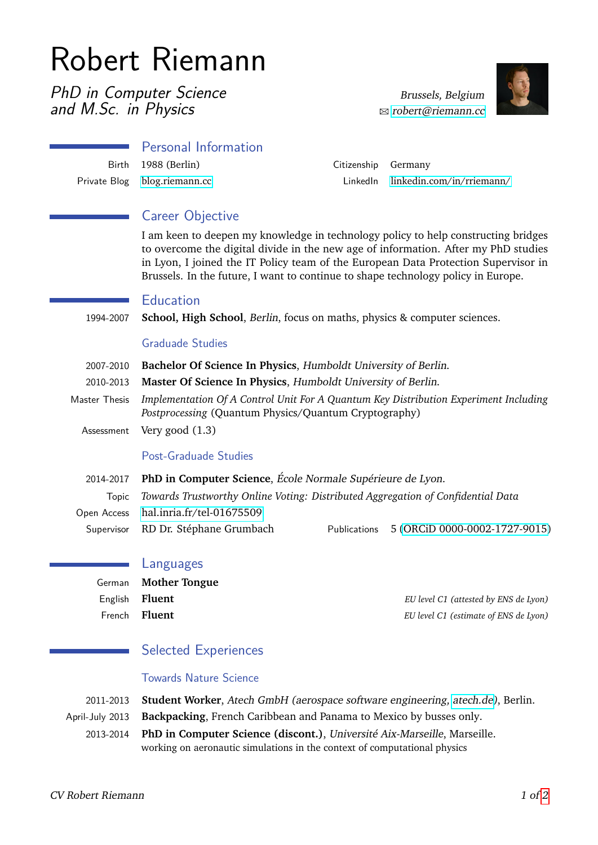# Robert Riemann

PhD in Computer Science and M.Sc. in Physics

Brussels, Belgium  $\boxtimes$  [robert@riemann.cc](mailto:robert@riemann.cc)



| <b>Personal Information</b>  |                     |                                     |
|------------------------------|---------------------|-------------------------------------|
| Birth 1988 (Berlin)          | Citizenship Germany |                                     |
| Private Blog blog.riemann.cc |                     | $Linkedn$ linkedin.com/in/rriemann/ |

## Career Objective

I am keen to deepen my knowledge in technology policy to help constructing bridges to overcome the digital divide in the new age of information. After my PhD studies in Lyon, I joined the IT Policy team of the European Data Protection Supervisor in Brussels. In the future, I want to continue to shape technology policy in Europe.

## Education

1994-2007 **School, High School**, Berlin, focus on maths, physics & computer sciences.

## Graduade Studies

- 2007-2010 **Bachelor Of Science In Physics**, Humboldt University of Berlin.
- 2010-2013 **Master Of Science In Physics**, Humboldt University of Berlin.
- Master Thesis *Implementation Of A Control Unit For A Quantum Key Distribution Experiment Including Postprocessing* (Quantum Physics/Quantum Cryptography)
	- Assessment Very good (1.3)

#### Post-Graduade Studies

2014-2017 **PhD in Computer Science**, École Normale Supérieure de Lyon. Topic *Towards Trustworthy Online Voting: Distributed Aggregation of Confidential Data* Open Access [hal.inria.fr/tel-01675509](https://hal.inria.fr/tel-01675509) Supervisor RD Dr. Stéphane Grumbach Publications 5 [\(ORCiD 0000-0002-1727-9015\)](https://orcid.org/0000-0002-1727-9015)

## Languages

|                       | German Mother Tongue |                                       |
|-----------------------|----------------------|---------------------------------------|
| English <b>Fluent</b> |                      | EU level C1 (attested by ENS de Lyon) |
|                       | French <b>Fluent</b> | EU level C1 (estimate of ENS de Lyon) |

## Selected Experiences

## Towards Nature Science

2011-2013 **Student Worker**, Atech GmbH (aerospace software engineering, [atech.de\)](http://www.atech.de), Berlin.

April-July 2013 **Backpacking**, French Caribbean and Panama to Mexico by busses only.

2013-2014 **PhD in Computer Science (discont.)**, Université Aix-Marseille, Marseille. working on aeronautic simulations in the context of computational physics